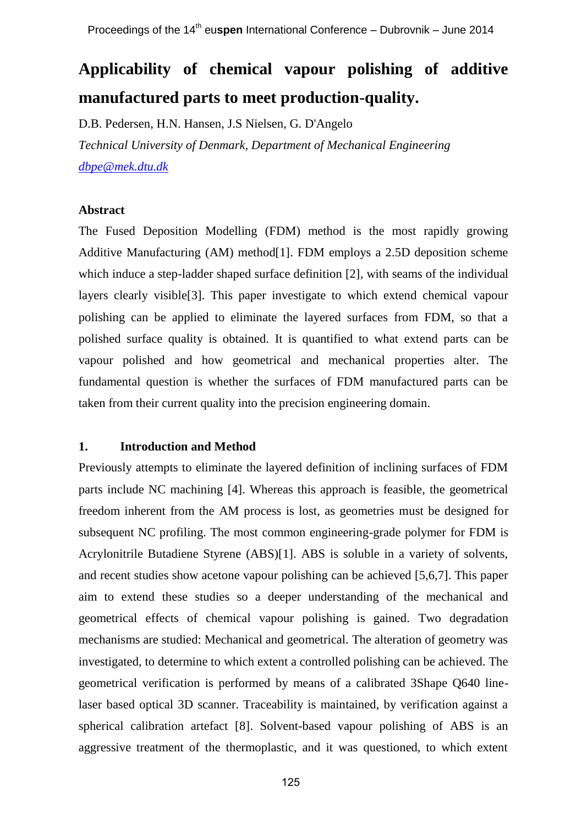# **Applicability of chemical vapour polishing of additive manufactured parts to meet production-quality.**

D.B. Pedersen, H.N. Hansen, J.S Nielsen, G. D'Angelo *Technical University of Denmark, Department of Mechanical Engineering [db](mailto:Corresponding.author@email.com)pe@mek.dtu.dk*

# **Abstract**

The Fused Deposition Modelling (FDM) method is the most rapidly growing Additive Manufacturing (AM) method[1]. FDM employs a 2.5D deposition scheme which induce a step-ladder shaped surface definition [2], with seams of the individual layers clearly visible[3]. This paper investigate to which extend chemical vapour polishing can be applied to eliminate the layered surfaces from FDM, so that a polished surface quality is obtained. It is quantified to what extend parts can be vapour polished and how geometrical and mechanical properties alter. The fundamental question is whether the surfaces of FDM manufactured parts can be taken from their current quality into the precision engineering domain.

## **1. Introduction and Method**

Previously attempts to eliminate the layered definition of inclining surfaces of FDM parts include NC machining [4]. Whereas this approach is feasible, the geometrical freedom inherent from the AM process is lost, as geometries must be designed for subsequent NC profiling. The most common engineering-grade polymer for FDM is Acrylonitrile Butadiene Styrene (ABS)[1]. ABS is soluble in a variety of solvents, and recent studies show acetone vapour polishing can be achieved [5,6,7]. This paper aim to extend these studies so a deeper understanding of the mechanical and geometrical effects of chemical vapour polishing is gained. Two degradation mechanisms are studied: Mechanical and geometrical. The alteration of geometry was investigated, to determine to which extent a controlled polishing can be achieved. The geometrical verification is performed by means of a calibrated 3Shape Q640 linelaser based optical 3D scanner. Traceability is maintained, by verification against a spherical calibration artefact [8]. Solvent-based vapour polishing of ABS is an aggressive treatment of the thermoplastic, and it was questioned, to which extent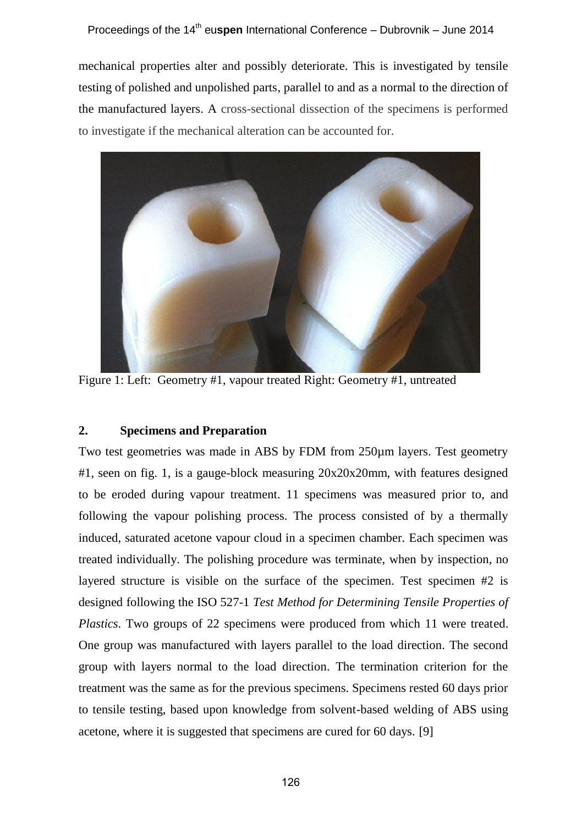mechanical properties alter and possibly deteriorate. This is investigated by tensile testing of polished and unpolished parts, parallel to and as a normal to the direction of the manufactured layers. A cross-sectional dissection of the specimens is performed to investigate if the mechanical alteration can be accounted for.



Figure 1: Left: Geometry #1, vapour treated Right: Geometry #1, untreated

# **2. Specimens and Preparation**

Two test geometries was made in ABS by FDM from 250µm layers. Test geometry #1, seen on fig. 1, is a gauge-block measuring  $20x20x20$ mm, with features designed to be eroded during vapour treatment. 11 specimens was measured prior to, and following the vapour polishing process. The process consisted of by a thermally induced, saturated acetone vapour cloud in a specimen chamber. Each specimen was treated individually. The polishing procedure was terminate, when by inspection, no layered structure is visible on the surface of the specimen. Test specimen #2 is designed following the ISO 527-1 *Test Method for Determining Tensile Properties of Plastics*. Two groups of 22 specimens were produced from which 11 were treated. One group was manufactured with layers parallel to the load direction. The second group with layers normal to the load direction. The termination criterion for the treatment was the same as for the previous specimens. Specimens rested 60 days prior to tensile testing, based upon knowledge from solvent-based welding of ABS using acetone, where it is suggested that specimens are cured for 60 days. [9]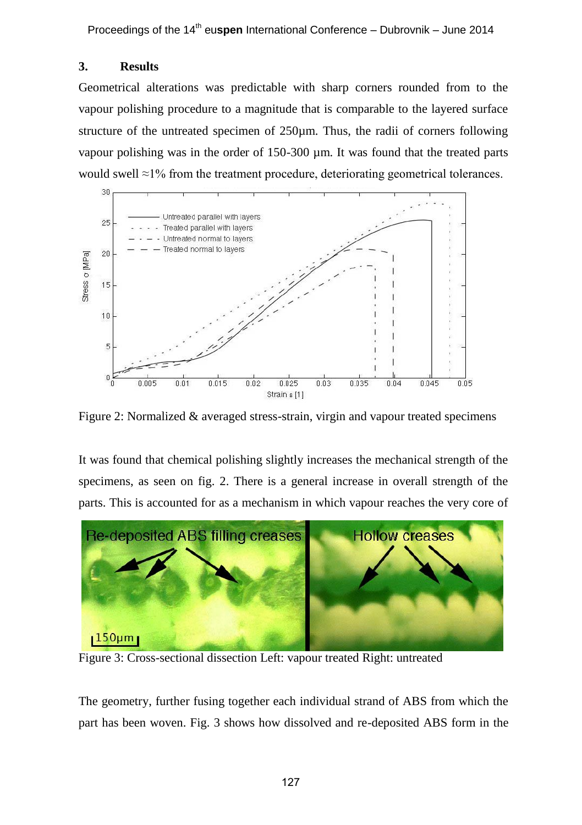# **3. Results**

Geometrical alterations was predictable with sharp corners rounded from to the vapour polishing procedure to a magnitude that is comparable to the layered surface structure of the untreated specimen of 250µm. Thus, the radii of corners following vapour polishing was in the order of 150-300 µm. It was found that the treated parts would swell ≈1% from the treatment procedure, deteriorating geometrical tolerances.



Figure 2: Normalized & averaged stress-strain, virgin and vapour treated specimens

It was found that chemical polishing slightly increases the mechanical strength of the specimens, as seen on fig. 2. There is a general increase in overall strength of the parts. This is accounted for as a mechanism in which vapour reaches the very core of



Figure 3: Cross-sectional dissection Left: vapour treated Right: untreated

The geometry, further fusing together each individual strand of ABS from which the part has been woven. Fig. 3 shows how dissolved and re-deposited ABS form in the